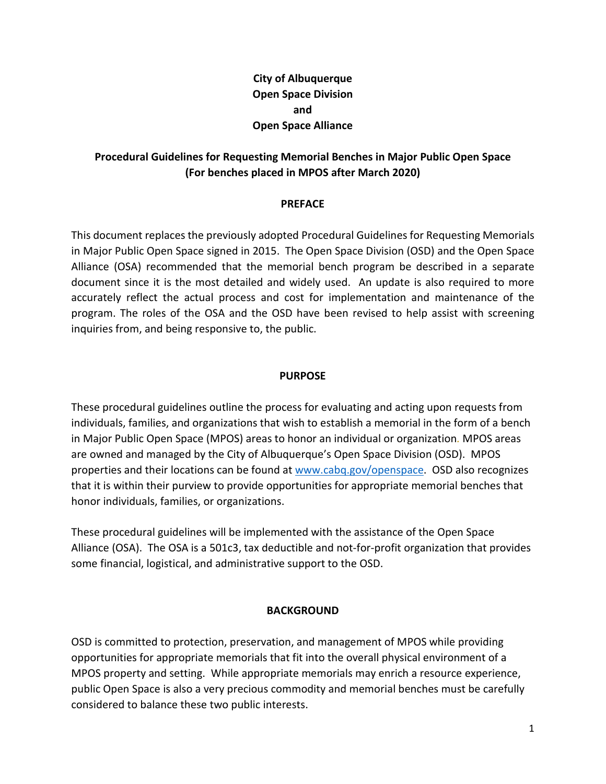# **City of Albuquerque Open Space Division and Open Space Alliance**

## **Procedural Guidelines for Requesting Memorial Benches in Major Public Open Space (For benches placed in MPOS after March 2020)**

## **PREFACE**

This document replaces the previously adopted Procedural Guidelines for Requesting Memorials in Major Public Open Space signed in 2015. The Open Space Division (OSD) and the Open Space Alliance (OSA) recommended that the memorial bench program be described in a separate document since it is the most detailed and widely used. An update is also required to more accurately reflect the actual process and cost for implementation and maintenance of the program. The roles of the OSA and the OSD have been revised to help assist with screening inquiries from, and being responsive to, the public.

## **PURPOSE**

These procedural guidelines outline the process for evaluating and acting upon requests from individuals, families, and organizations that wish to establish a memorial in the form of a bench in Major Public Open Space (MPOS) areas to honor an individual or organization*.* MPOS areas are owned and managed by the City of Albuquerque's Open Space Division (OSD). MPOS properties and their locations can be found at [www.cabq.gov/openspace.](http://www.cabq.gov/openspace) OSD also recognizes that it is within their purview to provide opportunities for appropriate memorial benches that honor individuals, families, or organizations.

These procedural guidelines will be implemented with the assistance of the Open Space Alliance (OSA). The OSA is a 501c3, tax deductible and not-for-profit organization that provides some financial, logistical, and administrative support to the OSD.

#### **BACKGROUND**

OSD is committed to protection, preservation, and management of MPOS while providing opportunities for appropriate memorials that fit into the overall physical environment of a MPOS property and setting. While appropriate memorials may enrich a resource experience, public Open Space is also a very precious commodity and memorial benches must be carefully considered to balance these two public interests.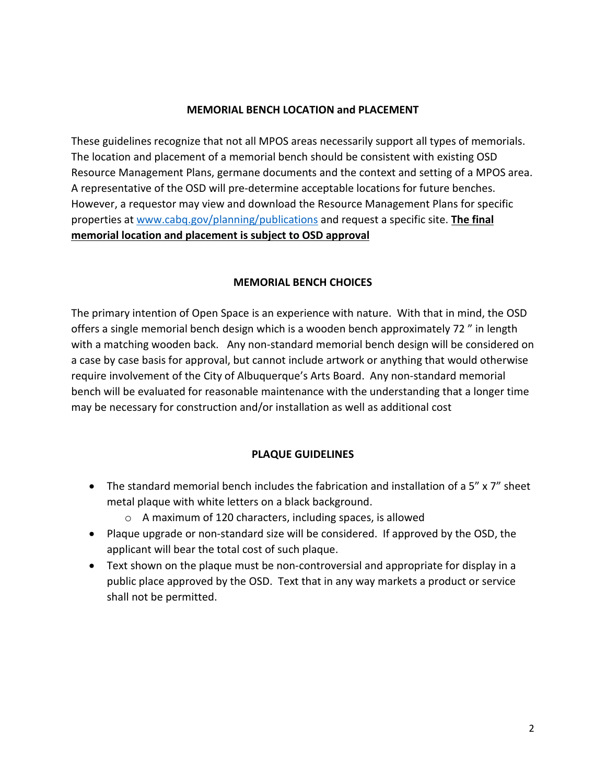#### **MEMORIAL BENCH LOCATION and PLACEMENT**

These guidelines recognize that not all MPOS areas necessarily support all types of memorials. The location and placement of a memorial bench should be consistent with existing OSD Resource Management Plans, germane documents and the context and setting of a MPOS area. A representative of the OSD will pre-determine acceptable locations for future benches. However, a requestor may view and download the Resource Management Plans for specific properties at [www.cabq.gov/planning/publications](http://www.cabq.gov/planning/publications) and request a specific site. **The final memorial location and placement is subject to OSD approval**

## **MEMORIAL BENCH CHOICES**

The primary intention of Open Space is an experience with nature. With that in mind, the OSD offers a single memorial bench design which is a wooden bench approximately 72 " in length with a matching wooden back. Any non-standard memorial bench design will be considered on a case by case basis for approval, but cannot include artwork or anything that would otherwise require involvement of the City of Albuquerque's Arts Board. Any non-standard memorial bench will be evaluated for reasonable maintenance with the understanding that a longer time may be necessary for construction and/or installation as well as additional cost

## **PLAQUE GUIDELINES**

- The standard memorial bench includes the fabrication and installation of a 5" x 7" sheet metal plaque with white letters on a black background.
	- o A maximum of 120 characters, including spaces, is allowed
- Plaque upgrade or non-standard size will be considered. If approved by the OSD, the applicant will bear the total cost of such plaque.
- Text shown on the plaque must be non-controversial and appropriate for display in a public place approved by the OSD. Text that in any way markets a product or service shall not be permitted.